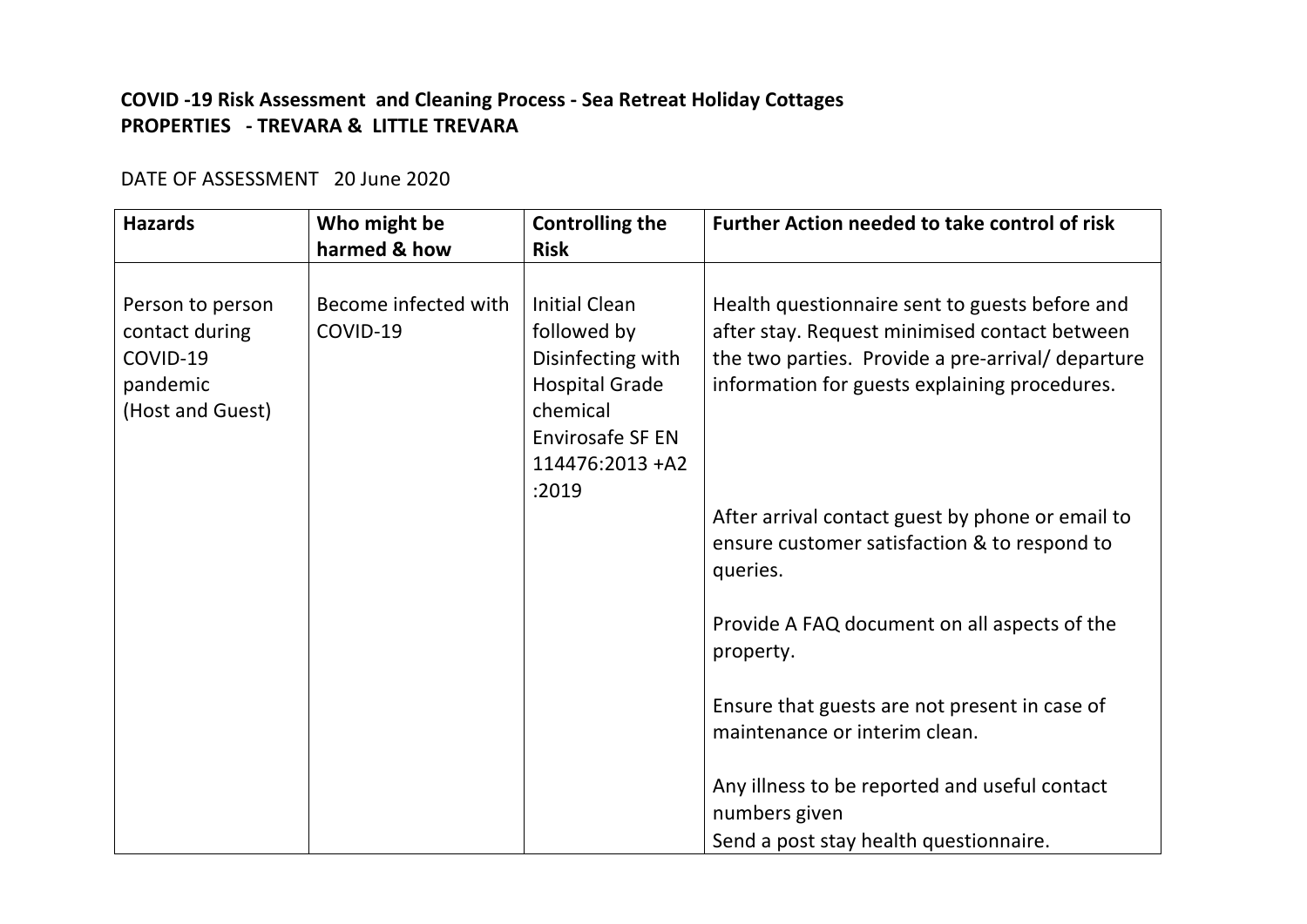## **COVID -19 Risk Assessment and Cleaning Process - Sea Retreat Holiday Cottages PROPERTIES** - TREVARA & LITTLE TREVARA

## DATE OF ASSESSMENT 20 June 2020

| <b>Hazards</b>                                                                 | Who might be                     | <b>Controlling the</b>                                                                                                               | <b>Further Action needed to take control of risk</b>                                                                                                                                                  |
|--------------------------------------------------------------------------------|----------------------------------|--------------------------------------------------------------------------------------------------------------------------------------|-------------------------------------------------------------------------------------------------------------------------------------------------------------------------------------------------------|
|                                                                                | harmed & how                     | <b>Risk</b>                                                                                                                          |                                                                                                                                                                                                       |
| Person to person<br>contact during<br>COVID-19<br>pandemic<br>(Host and Guest) | Become infected with<br>COVID-19 | <b>Initial Clean</b><br>followed by<br>Disinfecting with<br><b>Hospital Grade</b><br>chemical<br>Envirosafe SF EN<br>114476:2013 +A2 | Health questionnaire sent to guests before and<br>after stay. Request minimised contact between<br>the two parties. Provide a pre-arrival/ departure<br>information for guests explaining procedures. |
|                                                                                |                                  | :2019                                                                                                                                | After arrival contact guest by phone or email to                                                                                                                                                      |
|                                                                                |                                  |                                                                                                                                      | ensure customer satisfaction & to respond to<br>queries.                                                                                                                                              |
|                                                                                |                                  |                                                                                                                                      | Provide A FAQ document on all aspects of the<br>property.                                                                                                                                             |
|                                                                                |                                  |                                                                                                                                      | Ensure that guests are not present in case of<br>maintenance or interim clean.                                                                                                                        |
|                                                                                |                                  |                                                                                                                                      | Any illness to be reported and useful contact<br>numbers given                                                                                                                                        |
|                                                                                |                                  |                                                                                                                                      | Send a post stay health questionnaire.                                                                                                                                                                |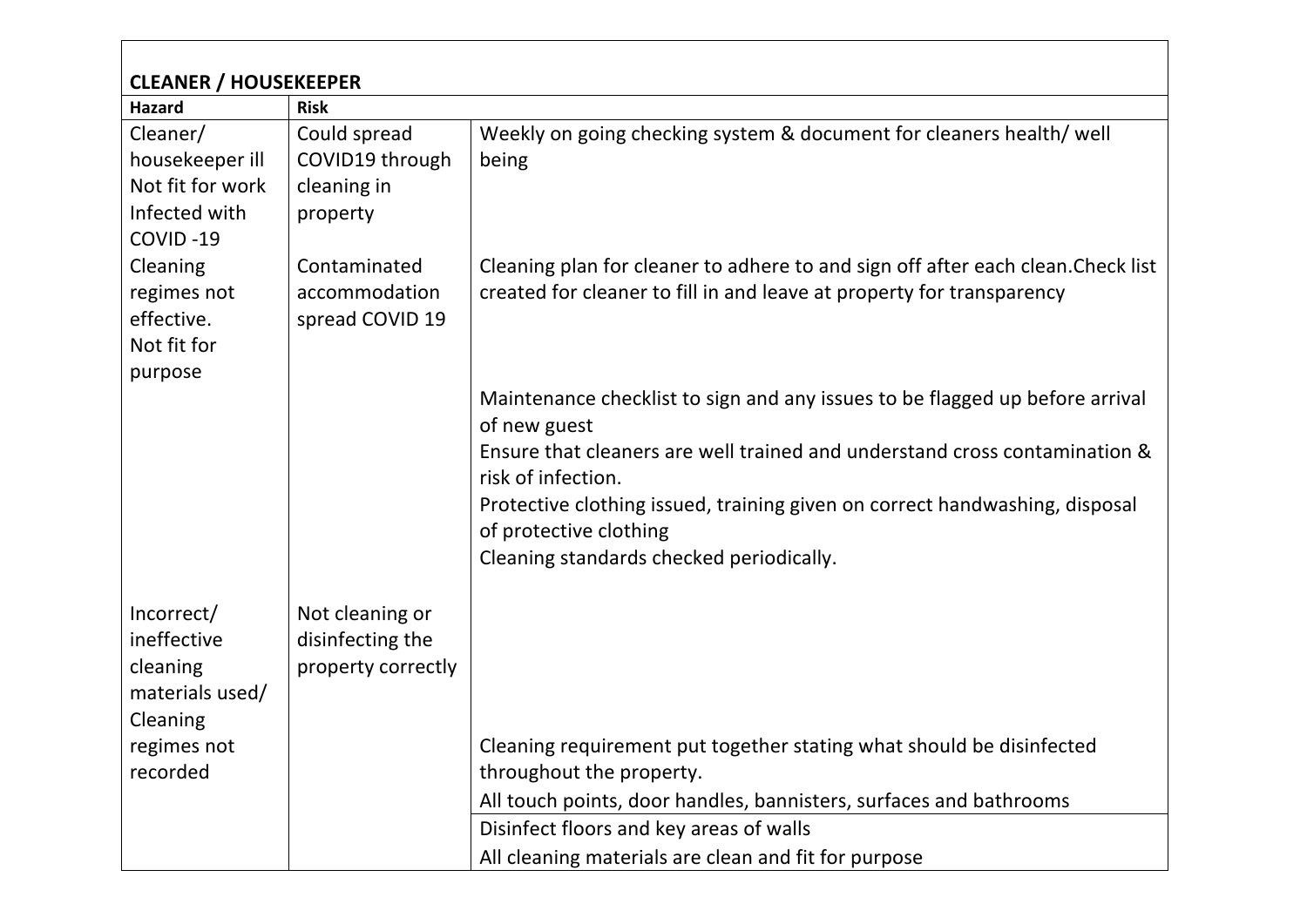| <b>CLEANER / HOUSEKEEPER</b>                                                                           |                                                                           |                                                                                                                                                                                                                                                                                                                                                       |  |  |  |  |  |
|--------------------------------------------------------------------------------------------------------|---------------------------------------------------------------------------|-------------------------------------------------------------------------------------------------------------------------------------------------------------------------------------------------------------------------------------------------------------------------------------------------------------------------------------------------------|--|--|--|--|--|
| <b>Hazard</b><br>Cleaner/<br>housekeeper ill<br>Not fit for work<br>Infected with<br>COVID-19          | <b>Risk</b><br>Could spread<br>COVID19 through<br>cleaning in<br>property | Weekly on going checking system & document for cleaners health/ well<br>being                                                                                                                                                                                                                                                                         |  |  |  |  |  |
| Cleaning<br>regimes not<br>effective.<br>Not fit for<br>purpose                                        | Contaminated<br>accommodation<br>spread COVID 19                          | Cleaning plan for cleaner to adhere to and sign off after each clean. Check list<br>created for cleaner to fill in and leave at property for transparency                                                                                                                                                                                             |  |  |  |  |  |
|                                                                                                        |                                                                           | Maintenance checklist to sign and any issues to be flagged up before arrival<br>of new guest<br>Ensure that cleaners are well trained and understand cross contamination &<br>risk of infection.<br>Protective clothing issued, training given on correct handwashing, disposal<br>of protective clothing<br>Cleaning standards checked periodically. |  |  |  |  |  |
| Incorrect/<br>ineffective<br>cleaning<br>materials used/<br><b>Cleaning</b><br>regimes not<br>recorded | Not cleaning or<br>disinfecting the<br>property correctly                 | Cleaning requirement put together stating what should be disinfected<br>throughout the property.<br>All touch points, door handles, bannisters, surfaces and bathrooms<br>Disinfect floors and key areas of walls<br>All cleaning materials are clean and fit for purpose                                                                             |  |  |  |  |  |